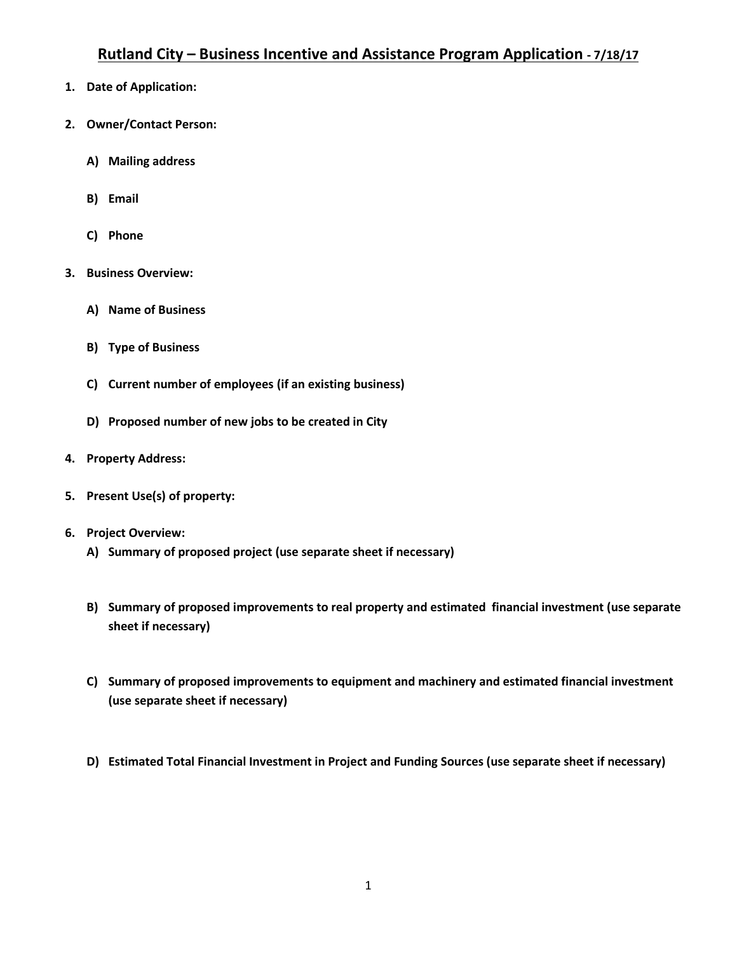- **1. Date of Application:**
- **2. Owner/Contact Person:**
	- **A) Mailing address**
	- **B) Email**
	- **C) Phone**
- **3. Business Overview:**
	- **A) Name of Business**
	- **B) Type of Business**
	- **C) Current number of employees (if an existing business)**
	- **D) Proposed number of new jobs to be created in City**
- **4. Property Address:**
- **5. Present Use(s) of property:**
- **6. Project Overview:**
	- **A) Summary of proposed project (use separate sheet if necessary)**
	- **B) Summary of proposed improvements to real property and estimated financial investment (use separate sheet if necessary)**
	- **C) Summary of proposed improvements to equipment and machinery and estimated financial investment (use separate sheet if necessary)**
	- **D) Estimated Total Financial Investment in Project and Funding Sources (use separate sheet if necessary)**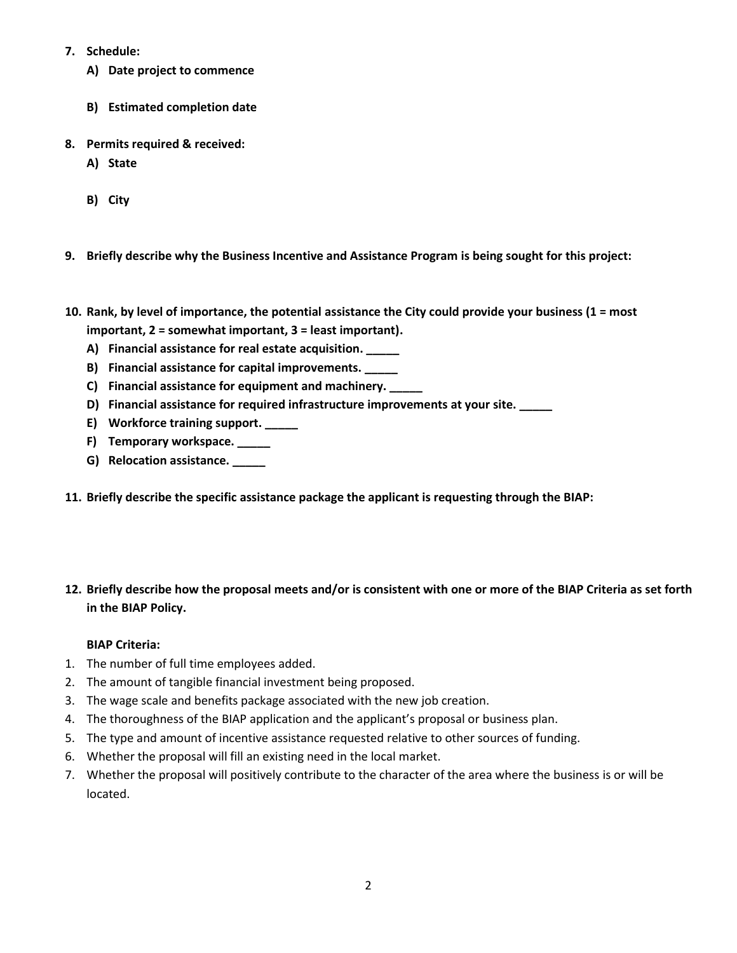- **7. Schedule:**
	- **A) Date project to commence**
	- **B) Estimated completion date**
- **8. Permits required & received:**
	- **A) State**
	- **B) City**
- **9. Briefly describe why the Business Incentive and Assistance Program is being sought for this project:**
- **10. Rank, by level of importance, the potential assistance the City could provide your business (1 = most important, 2 = somewhat important, 3 = least important).**
	- **A) Financial assistance for real estate acquisition. \_\_\_\_\_**
	- **B) Financial assistance for capital improvements. \_\_\_\_\_**
	- **C) Financial assistance for equipment and machinery. \_\_\_\_\_**
	- **D) Financial assistance for required infrastructure improvements at your site. \_\_\_\_\_**
	- **E) Workforce training support. \_\_\_\_\_**
	- **F) Temporary workspace. \_\_\_\_\_**
	- **G) Relocation assistance. \_\_\_\_\_**
- **11. Briefly describe the specific assistance package the applicant is requesting through the BIAP:**

## **12. Briefly describe how the proposal meets and/or is consistent with one or more of the BIAP Criteria as set forth in the BIAP Policy.**

### **BIAP Criteria:**

- 1. The number of full time employees added.
- 2. The amount of tangible financial investment being proposed.
- 3. The wage scale and benefits package associated with the new job creation.
- 4. The thoroughness of the BIAP application and the applicant's proposal or business plan.
- 5. The type and amount of incentive assistance requested relative to other sources of funding.
- 6. Whether the proposal will fill an existing need in the local market.
- 7. Whether the proposal will positively contribute to the character of the area where the business is or will be located.